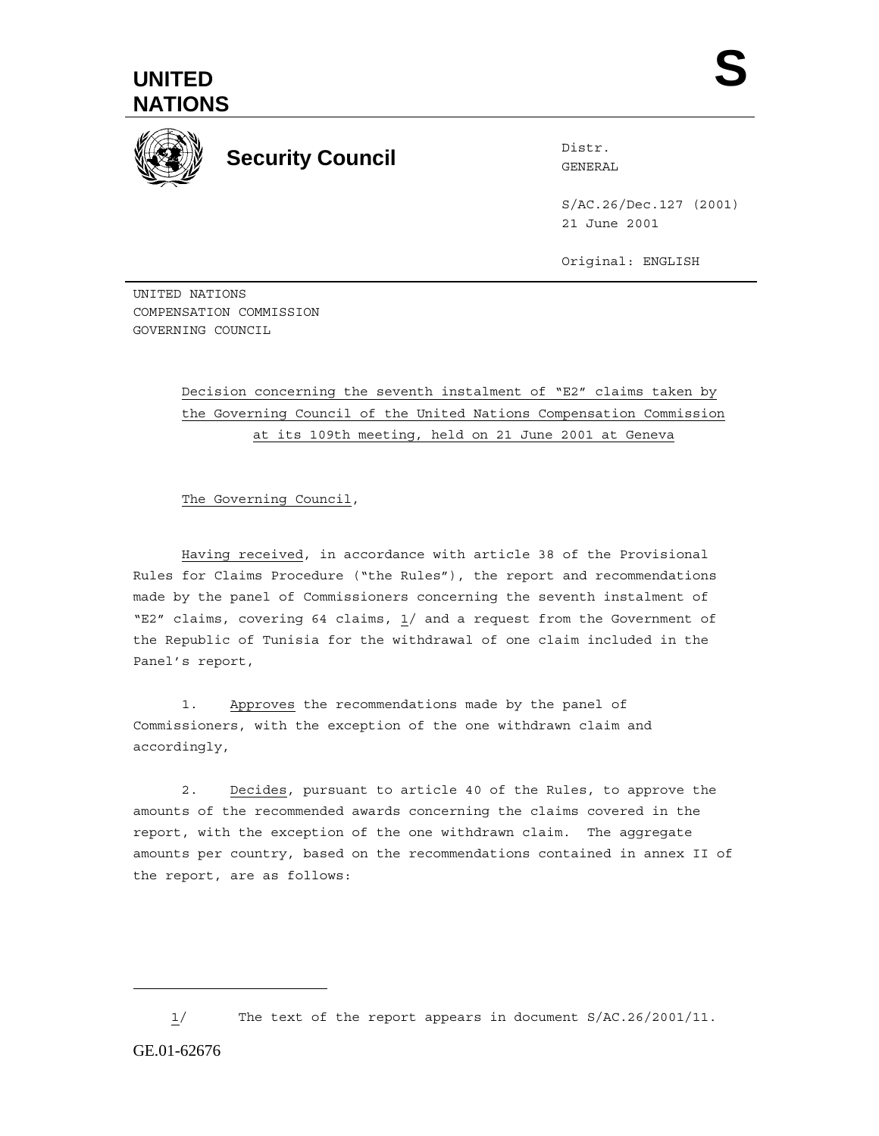



**Security Council Security Council** 

S/AC.26/Dec.127 (2001) 21 June 2001

Original: ENGLISH

UNITED NATIONS COMPENSATION COMMISSION GOVERNING COUNCIL

> Decision concerning the seventh instalment of "E2" claims taken by the Governing Council of the United Nations Compensation Commission at its 109th meeting, held on 21 June 2001 at Geneva

The Governing Council,

Having received, in accordance with article 38 of the Provisional Rules for Claims Procedure ("the Rules"), the report and recommendations made by the panel of Commissioners concerning the seventh instalment of "E2" claims, covering 64 claims, 1/ and a request from the Government of the Republic of Tunisia for the withdrawal of one claim included in the Panel's report,

1. Approves the recommendations made by the panel of Commissioners, with the exception of the one withdrawn claim and accordingly,

2. Decides, pursuant to article 40 of the Rules, to approve the amounts of the recommended awards concerning the claims covered in the report, with the exception of the one withdrawn claim. The aggregate amounts per country, based on the recommendations contained in annex II of the report, are as follows:

 $\overline{a}$ 

<sup>1/</sup> The text of the report appears in document S/AC.26/2001/11.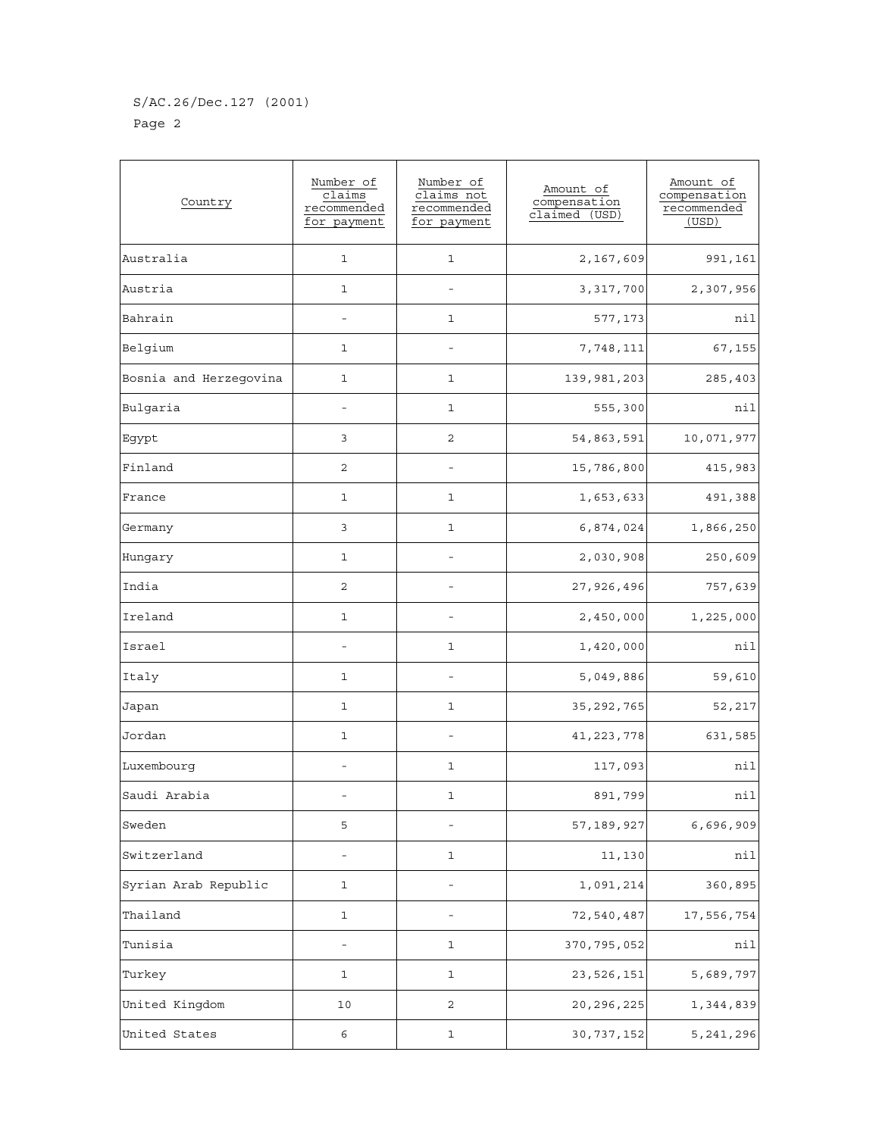## S/AC.26/Dec.127 (2001) Page 2

| Country                | Number of<br>claims<br>recommended<br>for payment | Number of<br>claims not<br>recommended<br>for payment | Amount of<br>compensation<br>claimed<br>(USD) | Amount of<br>compensation<br>recommended<br>(USD) |
|------------------------|---------------------------------------------------|-------------------------------------------------------|-----------------------------------------------|---------------------------------------------------|
| Australia              | $\mathbf{1}$                                      | 1                                                     | 2,167,609                                     | 991,161                                           |
| Austria                | $\mathbf{1}$                                      |                                                       | 3,317,700                                     | 2,307,956                                         |
| Bahrain                |                                                   | 1                                                     | 577,173                                       | nil                                               |
| Belgium                | 1                                                 |                                                       | 7,748,111                                     | 67,155                                            |
| Bosnia and Herzegovina | 1                                                 | 1                                                     | 139,981,203                                   | 285,403                                           |
| Bulgaria               | $\overline{a}$                                    | $\mathbf 1$                                           | 555,300                                       | nil                                               |
| Egypt                  | 3                                                 | 2                                                     | 54,863,591                                    | 10,071,977                                        |
| Finland                | 2                                                 | $\overline{a}$                                        | 15,786,800                                    | 415,983                                           |
| France                 | 1                                                 | 1                                                     | 1,653,633                                     | 491,388                                           |
| Germany                | 3                                                 | 1                                                     | 6,874,024                                     | 1,866,250                                         |
| Hungary                | 1                                                 |                                                       | 2,030,908                                     | 250,609                                           |
| India                  | 2                                                 |                                                       | 27,926,496                                    | 757,639                                           |
| Ireland                | 1                                                 |                                                       | 2,450,000                                     | 1,225,000                                         |
| Israel                 |                                                   | 1                                                     | 1,420,000                                     | nil                                               |
| Italy                  | 1                                                 | $\overline{\phantom{0}}$                              | 5,049,886                                     | 59,610                                            |
| Japan                  | 1                                                 | 1                                                     | 35, 292, 765                                  | 52,217                                            |
| Jordan                 | 1                                                 |                                                       | 41, 223, 778                                  | 631,585                                           |
| Luxembourg             |                                                   | 1                                                     | 117,093                                       | nil                                               |
| Saudi Arabia           |                                                   | 1                                                     | 891,799                                       | nil                                               |
| Sweden                 | 5                                                 |                                                       | 57, 189, 927                                  | 6,696,909                                         |
| Switzerland            |                                                   | $\mathbf{1}$                                          | 11,130                                        | nil                                               |
| Syrian Arab Republic   | 1                                                 |                                                       | 1,091,214                                     | 360,895                                           |
| Thailand               | $\mathbf{1}$                                      | $\overline{\phantom{0}}$                              | 72,540,487                                    | 17,556,754                                        |
| Tunisia                | $\overline{\phantom{a}}$                          | 1                                                     | 370,795,052                                   | nil                                               |
| Turkey                 | 1                                                 | 1                                                     | 23, 526, 151                                  | 5,689,797                                         |
| United Kingdom         | 10                                                | 2                                                     | 20, 296, 225                                  | 1,344,839                                         |
| United States          | 6                                                 | 1                                                     | 30, 737, 152                                  | 5, 241, 296                                       |